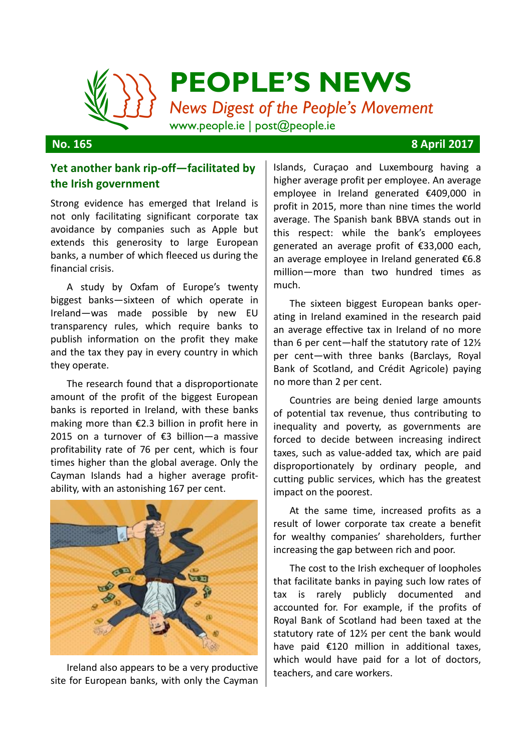

### **No. 165 8 April 2017**

## **Yet another bank rip-off—facilitated by the Irish government**

Strong evidence has emerged that Ireland is not only facilitating significant corporate tax avoidance by companies such as Apple but extends this generosity to large European banks, a number of which fleeced us during the financial crisis.

A study by Oxfam of Europe's twenty biggest banks—sixteen of which operate in Ireland—was made possible by new EU transparency rules, which require banks to publish information on the profit they make and the tax they pay in every country in which they operate.

The research found that a disproportionate amount of the profit of the biggest European banks is reported in Ireland, with these banks making more than €2.3 billion in profit here in 2015 on a turnover of €3 billion—a massive profitability rate of 76 per cent, which is four times higher than the global average. Only the Cayman Islands had a higher average profitability, with an astonishing 167 per cent.



Ireland also appears to be a very productive site for European banks, with only the Cayman

Islands, Curaçao and Luxembourg having a higher average profit per employee. An average employee in Ireland generated €409,000 in profit in 2015, more than nine times the world average. The Spanish bank BBVA stands out in this respect: while the bank's employees generated an average profit of €33,000 each, an average employee in Ireland generated €6.8 million—more than two hundred times as much.

The sixteen biggest European banks operating in Ireland examined in the research paid an average effective tax in Ireland of no more than 6 per cent—half the statutory rate of 12½ per cent—with three banks (Barclays, Royal Bank of Scotland, and Crédit Agricole) paying no more than 2 per cent.

Countries are being denied large amounts of potential tax revenue, thus contributing to inequality and poverty, as governments are forced to decide between increasing indirect taxes, such as value-added tax, which are paid disproportionately by ordinary people, and cutting public services, which has the greatest impact on the poorest.

At the same time, increased profits as a result of lower corporate tax create a benefit for wealthy companies' shareholders, further increasing the gap between rich and poor.

The cost to the Irish exchequer of loopholes that facilitate banks in paying such low rates of tax is rarely publicly documented and accounted for. For example, if the profits of Royal Bank of Scotland had been taxed at the statutory rate of 12½ per cent the bank would have paid €120 million in additional taxes, which would have paid for a lot of doctors. teachers, and care workers.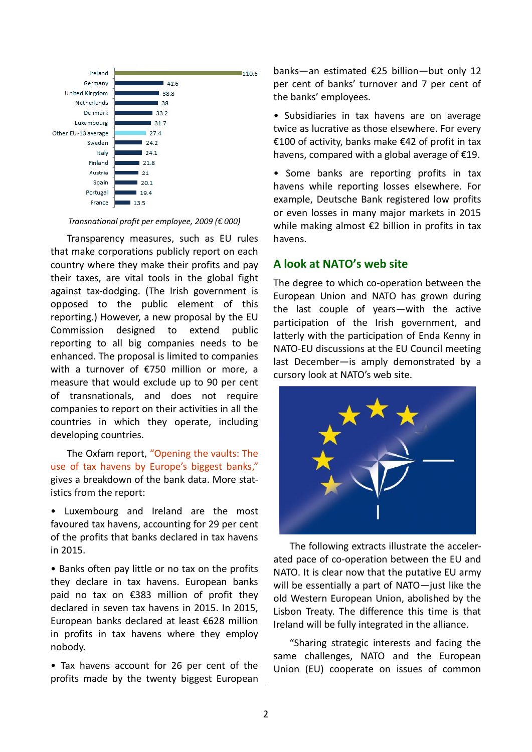

*Transnational profit per employee, 2009 (€ 000)*

Transparency measures, such as EU rules that make corporations publicly report on each country where they make their profits and pay their taxes, are vital tools in the global fight against tax-dodging. (The Irish government is opposed to the public element of this reporting.) However, a new proposal by the EU Commission designed to extend public reporting to all big companies needs to be enhanced. The proposal is limited to companies with a turnover of €750 million or more, a measure that would exclude up to 90 per cent of transnationals, and does not require companies to report on their activities in all the countries in which they operate, including developing countries.

The Oxfam report, "[Opening the vaults: The](https://www.oxfam.org/sites/www.oxfam.org/files/bp-opening-vaults-banks-tax-havens-270317-en.pdf)  [use of tax havens by Europe's biggest banks,](https://www.oxfam.org/sites/www.oxfam.org/files/bp-opening-vaults-banks-tax-havens-270317-en.pdf)" gives a breakdown of the bank data. More statistics from the report:

• Luxembourg and Ireland are the most favoured tax havens, accounting for 29 per cent of the profits that banks declared in tax havens in 2015.

• Banks often pay little or no tax on the profits they declare in tax havens. European banks paid no tax on €383 million of profit they declared in seven tax havens in 2015. In 2015, European banks declared at least €628 million in profits in tax havens where they employ nobody.

• Tax havens account for 26 per cent of the profits made by the twenty biggest European

banks—an estimated €25 billion—but only 12 per cent of banks' turnover and 7 per cent of the banks' employees.

• Subsidiaries in tax havens are on average twice as lucrative as those elsewhere. For every €100 of activity, banks make €42 of profit in tax havens, compared with a global average of €19.

• Some banks are reporting profits in tax havens while reporting losses elsewhere. For example, Deutsche Bank registered low profits or even losses in many major markets in 2015 while making almost €2 billion in profits in tax havens.

## **A look at NATO's web site**

The degree to which co-operation between the European Union and NATO has grown during the last couple of years—with the active participation of the Irish government, and latterly with the participation of Enda Kenny in NATO-EU discussions at the EU Council meeting last December—is amply demonstrated by a cursory look at NATO's web site.



The following extracts illustrate the accelerated pace of co-operation between the EU and NATO. It is clear now that the putative EU army will be essentially a part of NATO—just like the old Western European Union, abolished by the Lisbon Treaty. The difference this time is that Ireland will be fully integrated in the alliance.

"Sharing strategic interests and facing the same challenges, NATO and the European Union (EU) cooperate on issues of common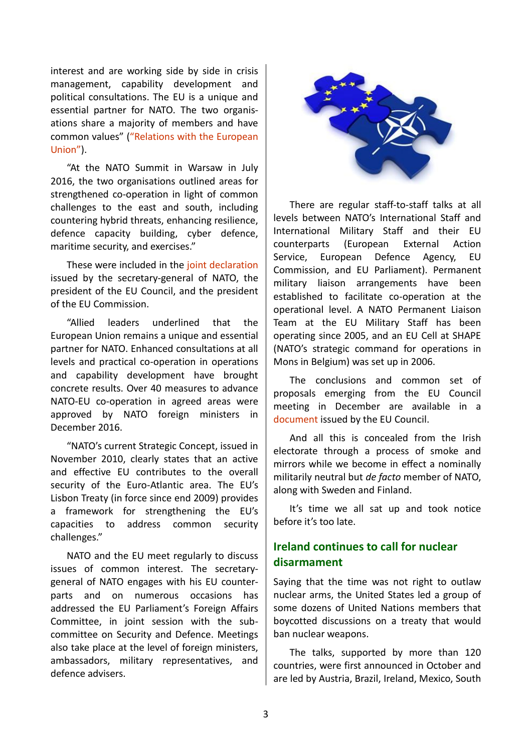interest and are working side by side in crisis management, capability development and political consultations. The EU is a unique and essential partner for NATO. The two organisations share a majority of members and have common values" ("[Relations with the European](http://www.nato.int/cps/en/natohq/topics_49217.htm)  [Union](http://www.nato.int/cps/en/natohq/topics_49217.htm)").

"At the NATO Summit in Warsaw in July 2016, the two organisations outlined areas for strengthened co-operation in light of common challenges to the east and south, including countering hybrid threats, enhancing resilience, defence capacity building, cyber defence, maritime security, and exercises."

These were included in the [joint declaration](http://www.nato.int/cps/en/natohq/official_texts_138829.htm?selectedLocale=en) issued by the secretary-general of NATO, the president of the EU Council, and the president of the EU Commission.

"Allied leaders underlined that the European Union remains a unique and essential partner for NATO. Enhanced consultations at all levels and practical co-operation in operations and capability development have brought concrete results. Over 40 measures to advance NATO-EU co-operation in agreed areas were approved by NATO foreign ministers in December 2016.

"NATO's current Strategic Concept, issued in November 2010, clearly states that an active and effective EU contributes to the overall security of the Euro-Atlantic area. The EU's Lisbon Treaty (in force since end 2009) provides a framework for strengthening the EU's capacities to address common security challenges."

NATO and the EU meet regularly to discuss issues of common interest. The secretarygeneral of NATO engages with his EU counterparts and on numerous occasions has addressed the EU Parliament's Foreign Affairs Committee, in joint session with the subcommittee on Security and Defence. Meetings also take place at the level of foreign ministers, ambassadors, military representatives, and defence advisers.



There are regular staff-to-staff talks at all levels between NATO's International Staff and International Military Staff and their EU counterparts (European External Action Service, European Defence Agency, EU Commission, and EU Parliament). Permanent military liaison arrangements have been established to facilitate co-operation at the operational level. A NATO Permanent Liaison Team at the EU Military Staff has been operating since 2005, and an EU Cell at SHAPE (NATO's strategic command for operations in Mons in Belgium) was set up in 2006.

The conclusions and common set of proposals emerging from the EU Council meeting in December are available in a [document](http://data.consilium.europa.eu/doc/document/ST-15283-2016-INIT/en/pdf) issued by the EU Council.

And all this is concealed from the Irish electorate through a process of smoke and mirrors while we become in effect a nominally militarily neutral but *de facto* member of NATO, along with Sweden and Finland.

It's time we all sat up and took notice before it's too late.

## **Ireland continues to call for nuclear disarmament**

Saying that the time was not right to outlaw nuclear arms, the United States led a group of some dozens of United Nations members that boycotted discussions on a treaty that would ban nuclear weapons.

The talks, supported by more than 120 countries, were first announced in October and are led by Austria, Brazil, Ireland, Mexico, South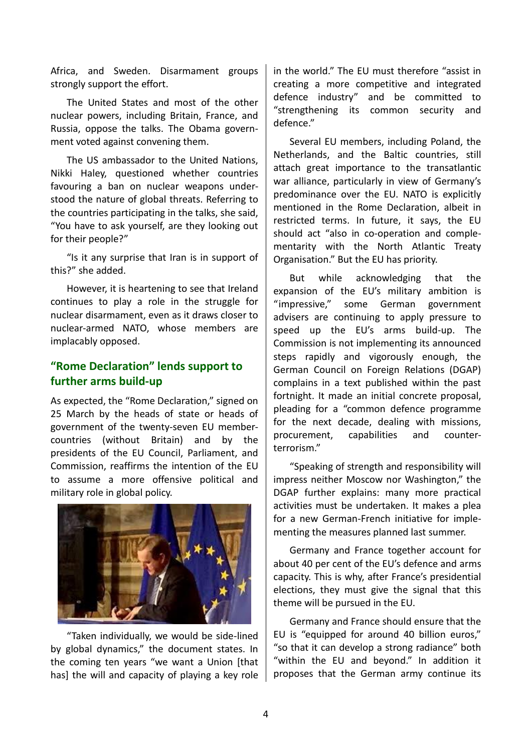Africa, and Sweden. Disarmament groups strongly support the effort.

The United States and most of the other nuclear powers, including Britain, France, and Russia, oppose the talks. The Obama government voted against convening them.

The US ambassador to the United Nations, Nikki Haley, questioned whether countries favouring a ban on nuclear weapons understood the nature of global threats. Referring to the countries participating in the talks, she said, "You have to ask yourself, are they looking out for their people?"

"Is it any surprise that Iran is in support of this?" she added.

However, it is heartening to see that Ireland continues to play a role in the struggle for nuclear disarmament, even as it draws closer to nuclear-armed NATO, whose members are implacably opposed.

## **"Rome Declaration" lends support to further arms build-up**

As expected, the "Rome Declaration," signed on 25 March by the heads of state or heads of government of the twenty-seven EU membercountries (without Britain) and by the presidents of the EU Council, Parliament, and Commission, reaffirms the intention of the EU to assume a more offensive political and military role in global policy.



"Taken individually, we would be side-lined by global dynamics," the document states. In the coming ten years "we want a Union [that has] the will and capacity of playing a key role

in the world." The EU must therefore "assist in creating a more competitive and integrated defence industry" and be committed to "strengthening its common security and defence."

Several EU members, including Poland, the Netherlands, and the Baltic countries, still attach great importance to the transatlantic war alliance, particularly in view of Germany's predominance over the EU. NATO is explicitly mentioned in the Rome Declaration, albeit in restricted terms. In future, it says, the EU should act "also in co-operation and complementarity with the North Atlantic Treaty Organisation." But the EU has priority.

But while acknowledging that the expansion of the EU's military ambition is "impressive," some German government advisers are continuing to apply pressure to speed up the EU's arms build-up. The Commission is not implementing its announced steps rapidly and vigorously enough, the German Council on Foreign Relations (DGAP) complains in a text published within the past fortnight. It made an initial concrete proposal, pleading for a "common defence programme for the next decade, dealing with missions, procurement, capabilities and counterterrorism."

"Speaking of strength and responsibility will impress neither Moscow nor Washington," the DGAP further explains: many more practical activities must be undertaken. It makes a plea for a new German-French initiative for implementing the measures planned last summer.

Germany and France together account for about 40 per cent of the EU's defence and arms capacity. This is why, after France's presidential elections, they must give the signal that this theme will be pursued in the EU.

Germany and France should ensure that the EU is "equipped for around 40 billion euros," "so that it can develop a strong radiance" both "within the EU and beyond." In addition it proposes that the German army continue its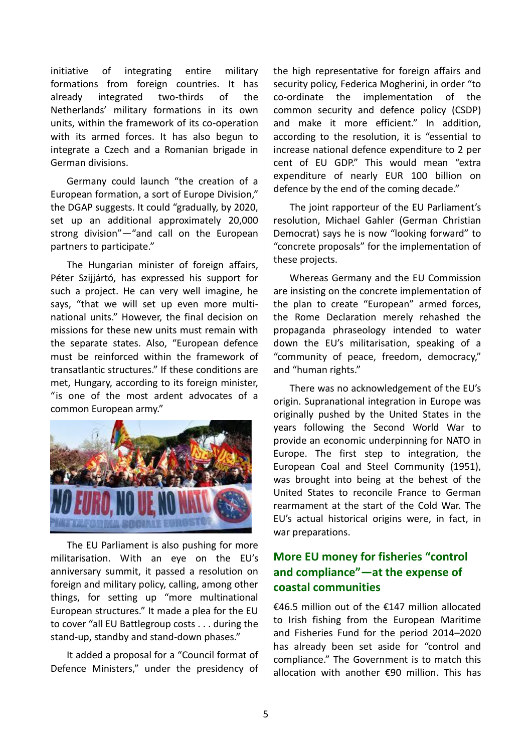initiative of integrating entire military formations from foreign countries. It has already integrated two-thirds of the Netherlands' military formations in its own units, within the framework of its co-operation with its armed forces. It has also begun to integrate a Czech and a Romanian brigade in German divisions.

Germany could launch "the creation of a European formation, a sort of Europe Division," the DGAP suggests. It could "gradually, by 2020, set up an additional approximately 20,000 strong division"—"and call on the European partners to participate."

The Hungarian minister of foreign affairs, Péter Szijjártó, has expressed his support for such a project. He can very well imagine, he says, "that we will set up even more multinational units." However, the final decision on missions for these new units must remain with the separate states. Also, "European defence must be reinforced within the framework of transatlantic structures." If these conditions are met, Hungary, according to its foreign minister, "is one of the most ardent advocates of a common European army."



The EU Parliament is also pushing for more militarisation. With an eye on the EU's anniversary summit, it passed a resolution on foreign and military policy, calling, among other things, for setting up "more multinational European structures." It made a plea for the EU to cover "all EU Battlegroup costs . . . during the stand-up, standby and stand-down phases."

It added a proposal for a "Council format of Defence Ministers," under the presidency of

the high representative for foreign affairs and security policy, Federica Mogherini, in order "to co-ordinate the implementation of the common security and defence policy (CSDP) and make it more efficient." In addition, according to the resolution, it is "essential to increase national defence expenditure to 2 per cent of EU GDP." This would mean "extra expenditure of nearly EUR 100 billion on defence by the end of the coming decade."

The joint rapporteur of the EU Parliament's resolution, Michael Gahler (German Christian Democrat) says he is now "looking forward" to "concrete proposals" for the implementation of these projects.

Whereas Germany and the EU Commission are insisting on the concrete implementation of the plan to create "European" armed forces, the Rome Declaration merely rehashed the propaganda phraseology intended to water down the EU's militarisation, speaking of a "community of peace, freedom, democracy," and "human rights."

There was no acknowledgement of the EU's origin. Supranational integration in Europe was originally pushed by the United States in the years following the Second World War to provide an economic underpinning for NATO in Europe. The first step to integration, the European Coal and Steel Community (1951), was brought into being at the behest of the United States to reconcile France to German rearmament at the start of the Cold War. The EU's actual historical origins were, in fact, in war preparations.

# **More EU money for fisheries "control and compliance"—at the expense of coastal communities**

€46.5 million out of the €147 million allocated to Irish fishing from the European Maritime and Fisheries Fund for the period 2014–2020 has already been set aside for "control and compliance." The Government is to match this allocation with another €90 million. This has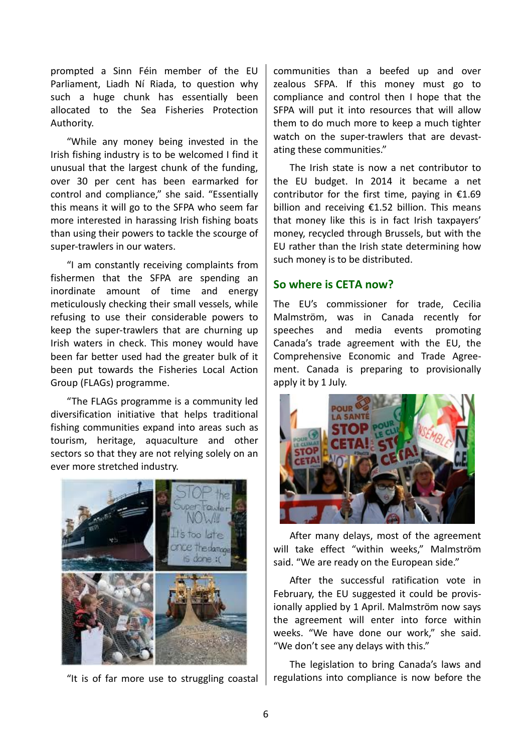prompted a Sinn Féin member of the EU Parliament, Liadh Ní Riada, to question why such a huge chunk has essentially been allocated to the Sea Fisheries Protection Authority.

"While any money being invested in the Irish fishing industry is to be welcomed I find it unusual that the largest chunk of the funding, over 30 per cent has been earmarked for control and compliance," she said. "Essentially this means it will go to the SFPA who seem far more interested in harassing Irish fishing boats than using their powers to tackle the scourge of super-trawlers in our waters.

"I am constantly receiving complaints from fishermen that the SFPA are spending an inordinate amount of time and energy meticulously checking their small vessels, while refusing to use their considerable powers to keep the super-trawlers that are churning up Irish waters in check. This money would have been far better used had the greater bulk of it been put towards the Fisheries Local Action Group (FLAGs) programme.

"The FLAGs programme is a community led diversification initiative that helps traditional fishing communities expand into areas such as tourism, heritage, aquaculture and other sectors so that they are not relying solely on an ever more stretched industry.



"It is of far more use to struggling coastal

communities than a beefed up and over zealous SFPA. If this money must go to compliance and control then I hope that the SFPA will put it into resources that will allow them to do much more to keep a much tighter watch on the super-trawlers that are devastating these communities."

The Irish state is now a net contributor to the EU budget. In 2014 it became a net contributor for the first time, paying in  $£1.69$ billion and receiving  $£1.52$  billion. This means that money like this is in fact Irish taxpayers' money, recycled through Brussels, but with the EU rather than the Irish state determining how such money is to be distributed.

### **So where is CETA now?**

The EU's commissioner for trade, Cecilia Malmström, was in Canada recently for speeches and media events promoting Canada's trade agreement with the EU, the Comprehensive Economic and Trade Agreement. Canada is preparing to provisionally apply it by 1 July.



After many delays, most of the agreement will take effect "within weeks," Malmström said. "We are ready on the European side."

After the successful ratification vote in February, the EU suggested it could be provisionally applied by 1 April. Malmström now says the agreement will enter into force within weeks. "We have done our work," she said. "We don't see any delays with this."

The legislation to bring Canada's laws and regulations into compliance is now before the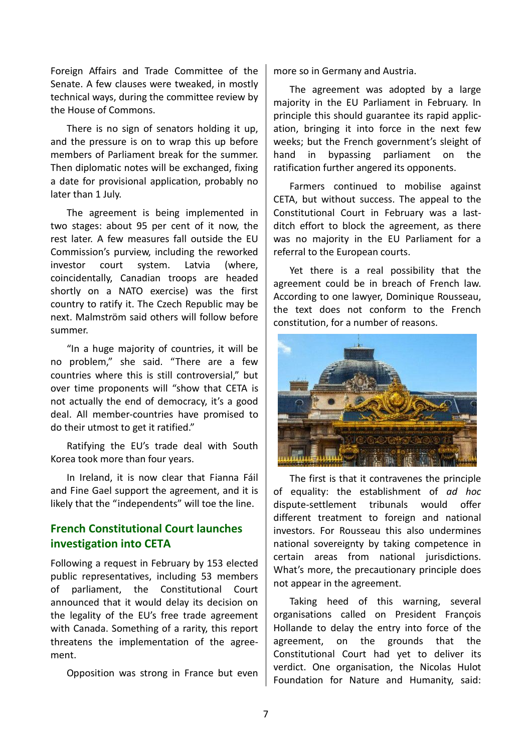Foreign Affairs and Trade Committee of the Senate. A few clauses were tweaked, in mostly technical ways, during the committee review by the House of Commons.

There is no sign of senators holding it up, and the pressure is on to wrap this up before members of Parliament break for the summer. Then diplomatic notes will be exchanged, fixing a date for provisional application, probably no later than 1 July.

The agreement is being implemented in two stages: about 95 per cent of it now, the rest later. A few measures fall outside the EU Commission's purview, including the reworked investor court system. Latvia (where, coincidentally, Canadian troops are headed shortly on a NATO exercise) was the first country to ratify it. The Czech Republic may be next. Malmström said others will follow before summer.

"In a huge majority of countries, it will be no problem," she said. "There are a few countries where this is still controversial," but over time proponents will "show that CETA is not actually the end of democracy, it's a good deal. All member-countries have promised to do their utmost to get it ratified."

Ratifying the EU's trade deal with South Korea took more than four years.

In Ireland, it is now clear that Fianna Fáil and Fine Gael support the agreement, and it is likely that the "independents" will toe the line.

## **French Constitutional Court launches investigation into CETA**

Following a request in February by 153 elected public representatives, including 53 members of parliament, the Constitutional Court announced that it would delay its decision on the legality of the EU's free trade agreement with Canada. Something of a rarity, this report threatens the implementation of the agreement.

Opposition was strong in France but even

more so in Germany and Austria.

The agreement was adopted by a large majority in the EU Parliament in February. In principle this should guarantee its rapid application, bringing it into force in the next few weeks; but the French government's sleight of hand in bypassing parliament on the ratification further angered its opponents.

Farmers continued to mobilise against CETA, but without success. The appeal to the Constitutional Court in February was a lastditch effort to block the agreement, as there was no majority in the EU Parliament for a referral to the European courts.

Yet there is a real possibility that the agreement could be in breach of French law. According to one lawyer, Dominique Rousseau, the text does not conform to the French constitution, for a number of reasons.



The first is that it contravenes the principle of equality: the establishment of *ad hoc* dispute-settlement tribunals would offer different treatment to foreign and national investors. For Rousseau this also undermines national sovereignty by taking competence in certain areas from national jurisdictions. What's more, the precautionary principle does not appear in the agreement.

Taking heed of this warning, several organisations called on President François Hollande to delay the entry into force of the agreement, on the grounds that the Constitutional Court had yet to deliver its verdict. One organisation, the Nicolas Hulot Foundation for Nature and Humanity, said: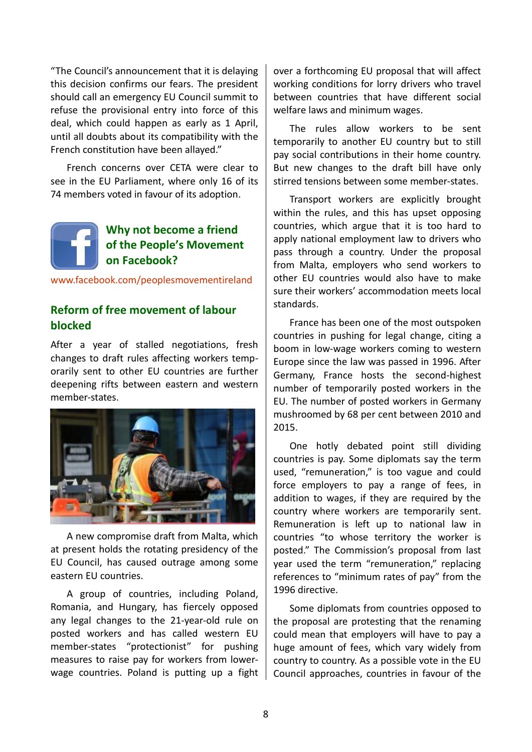"The Council's announcement that it is delaying this decision confirms our fears. The president should call an emergency EU Council summit to refuse the provisional entry into force of this deal, which could happen as early as 1 April, until all doubts about its compatibility with the French constitution have been allayed."

French concerns over CETA were clear to see in the EU Parliament, where only 16 of its 74 members voted in favour of its adoption.

# **Why not become a friend of the People's Movement on Facebook?**

<www.facebook.com/peoplesmovementireland>

## **Reform of free movement of labour blocked**

After a year of stalled negotiations, fresh changes to draft rules affecting workers temporarily sent to other EU countries are further deepening rifts between eastern and western member-states.



A new compromise draft from Malta, which at present holds the rotating presidency of the EU Council, has caused outrage among some eastern EU countries.

A group of countries, including Poland, Romania, and Hungary, has fiercely opposed any legal changes to the 21-year-old rule on posted workers and has called western EU member-states "protectionist" for pushing measures to raise pay for workers from lowerwage countries. Poland is putting up a fight

over a forthcoming EU proposal that will affect working conditions for lorry drivers who travel between countries that have different social welfare laws and minimum wages.

The rules allow workers to be sent temporarily to another EU country but to still pay social contributions in their home country. But new changes to the draft bill have only stirred tensions between some member-states.

Transport workers are explicitly brought within the rules, and this has upset opposing countries, which argue that it is too hard to apply national employment law to drivers who pass through a country. Under the proposal from Malta, employers who send workers to other EU countries would also have to make sure their workers' accommodation meets local standards.

France has been one of the most outspoken countries in pushing for legal change, citing a boom in low-wage workers coming to western Europe since the law was passed in 1996. After Germany, France hosts the second-highest number of temporarily posted workers in the EU. The number of posted workers in Germany mushroomed by 68 per cent between 2010 and 2015.

One hotly debated point still dividing countries is pay. Some diplomats say the term used, "remuneration," is too vague and could force employers to pay a range of fees, in addition to wages, if they are required by the country where workers are temporarily sent. Remuneration is left up to national law in countries "to whose territory the worker is posted." The Commission's proposal from last year used the term "remuneration," replacing references to "minimum rates of pay" from the 1996 directive.

Some diplomats from countries opposed to the proposal are protesting that the renaming could mean that employers will have to pay a huge amount of fees, which vary widely from country to country. As a possible vote in the EU Council approaches, countries in favour of the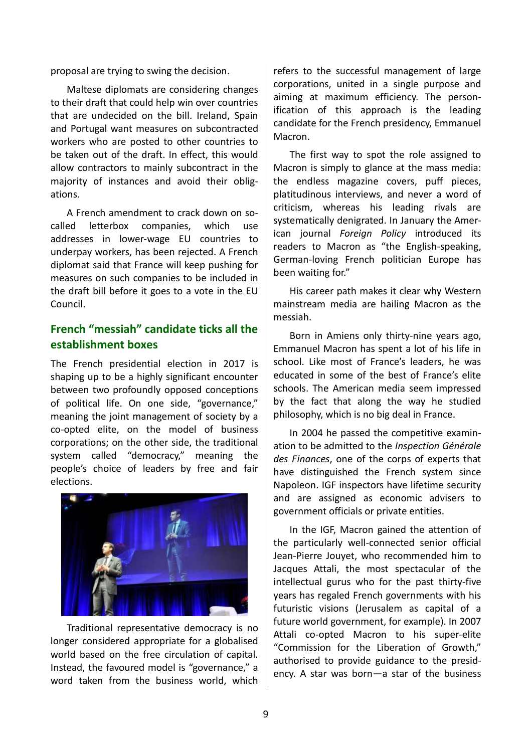proposal are trying to swing the decision.

Maltese diplomats are considering changes to their draft that could help win over countries that are undecided on the bill. Ireland, Spain and Portugal want measures on subcontracted workers who are posted to other countries to be taken out of the draft. In effect, this would allow contractors to mainly subcontract in the majority of instances and avoid their obligations.

A French amendment to crack down on socalled letterbox companies, which use addresses in lower-wage EU countries to underpay workers, has been rejected. A French diplomat said that France will keep pushing for measures on such companies to be included in the draft bill before it goes to a vote in the EU Council.

## **French "messiah" candidate ticks all the establishment boxes**

The French presidential election in 2017 is shaping up to be a highly significant encounter between two profoundly opposed conceptions of political life. On one side, "governance," meaning the joint management of society by a co-opted elite, on the model of business corporations; on the other side, the traditional system called "democracy," meaning the people's choice of leaders by free and fair elections.

![](_page_8_Picture_5.jpeg)

Traditional representative democracy is no longer considered appropriate for a globalised world based on the free circulation of capital. Instead, the favoured model is "governance," a word taken from the business world, which

refers to the successful management of large corporations, united in a single purpose and aiming at maximum efficiency. The personification of this approach is the leading candidate for the French presidency, Emmanuel Macron.

The first way to spot the role assigned to Macron is simply to glance at the mass media: the endless magazine covers, puff pieces, platitudinous interviews, and never a word of criticism, whereas his leading rivals are systematically denigrated. In January the American journal *Foreign Policy* introduced its readers to Macron as "the English-speaking, German-loving French politician Europe has been waiting for."

His career path makes it clear why Western mainstream media are hailing Macron as the messiah.

Born in Amiens only thirty-nine years ago, Emmanuel Macron has spent a lot of his life in school. Like most of France's leaders, he was educated in some of the best of France's elite schools. The American media seem impressed by the fact that along the way he studied philosophy, which is no big deal in France.

In 2004 he passed the competitive examination to be admitted to the *Inspection Générale des Finances*, one of the corps of experts that have distinguished the French system since Napoleon. IGF inspectors have lifetime security and are assigned as economic advisers to government officials or private entities.

In the IGF, Macron gained the attention of the particularly well-connected senior official Jean-Pierre Jouyet, who recommended him to Jacques Attali, the most spectacular of the intellectual gurus who for the past thirty-five years has regaled French governments with his futuristic visions (Jerusalem as capital of a future world government, for example). In 2007 Attali co-opted Macron to his super-elite "Commission for the Liberation of Growth," authorised to provide guidance to the presidency. A star was born—a star of the business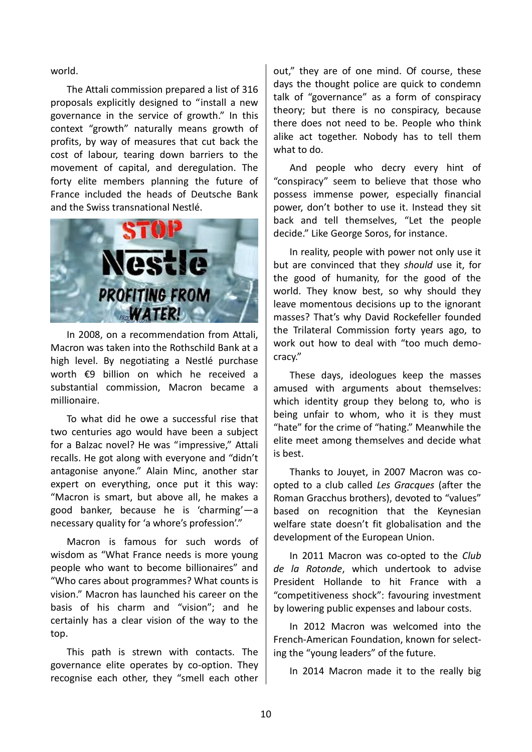world.

The Attali commission prepared a list of 316 proposals explicitly designed to "install a new governance in the service of growth." In this context "growth" naturally means growth of profits, by way of measures that cut back the cost of labour, tearing down barriers to the movement of capital, and deregulation. The forty elite members planning the future of France included the heads of Deutsche Bank and the Swiss transnational Nestlé.

![](_page_9_Picture_2.jpeg)

In 2008, on a recommendation from Attali, Macron was taken into the Rothschild Bank at a high level. By negotiating a Nestlé purchase worth €9 billion on which he received a substantial commission, Macron became a millionaire.

To what did he owe a successful rise that two centuries ago would have been a subject for a Balzac novel? He was "impressive," Attali recalls. He got along with everyone and "didn't antagonise anyone." Alain Minc, another star expert on everything, once put it this way: "Macron is smart, but above all, he makes a good banker, because he is 'charming'—a necessary quality for 'a whore's profession'."

Macron is famous for such words of wisdom as "What France needs is more young people who want to become billionaires" and "Who cares about programmes? What counts is vision." Macron has launched his career on the basis of his charm and "vision"; and he certainly has a clear vision of the way to the top.

This path is strewn with contacts. The governance elite operates by co-option. They recognise each other, they "smell each other out," they are of one mind. Of course, these days the thought police are quick to condemn talk of "governance" as a form of conspiracy theory; but there is no conspiracy, because there does not need to be. People who think alike act together. Nobody has to tell them what to do.

And people who decry every hint of "conspiracy" seem to believe that those who possess immense power, especially financial power, don't bother to use it. Instead they sit back and tell themselves, "Let the people decide." Like George Soros, for instance.

In reality, people with power not only use it but are convinced that they *should* use it, for the good of humanity, for the good of the world. They know best, so why should they leave momentous decisions up to the ignorant masses? That's why David Rockefeller founded the Trilateral Commission forty years ago, to work out how to deal with "too much democracy."

These days, ideologues keep the masses amused with arguments about themselves: which identity group they belong to, who is being unfair to whom, who it is they must "hate" for the crime of "hating." Meanwhile the elite meet among themselves and decide what is best.

Thanks to Jouyet, in 2007 Macron was coopted to a club called *Les Gracques* (after the Roman Gracchus brothers), devoted to "values" based on recognition that the Keynesian welfare state doesn't fit globalisation and the development of the European Union.

In 2011 Macron was co-opted to the *Club de la Rotonde*, which undertook to advise President Hollande to hit France with a "competitiveness shock": favouring investment by lowering public expenses and labour costs.

In 2012 Macron was welcomed into the French-American Foundation, known for selecting the "young leaders" of the future.

In 2014 Macron made it to the really big